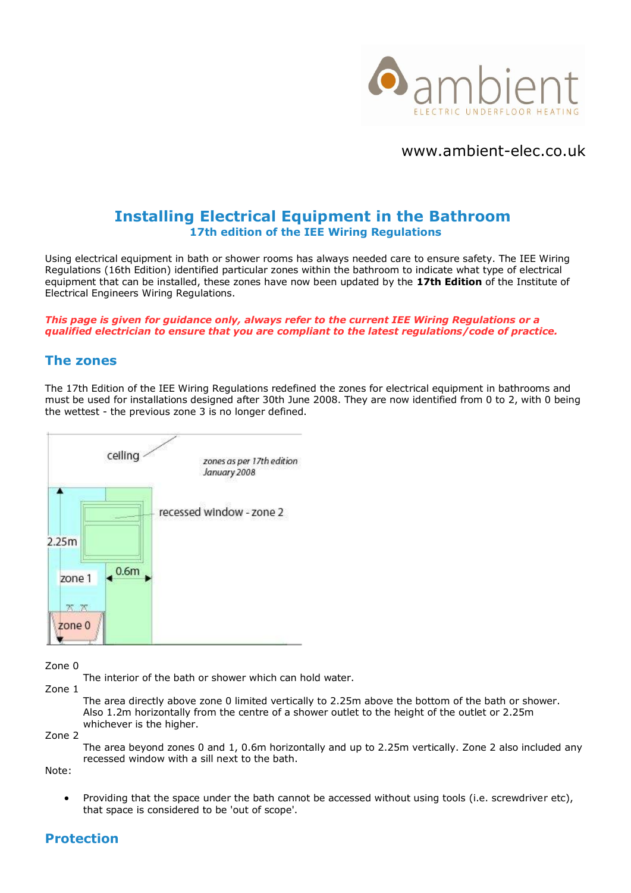

www.ambient-elec.co.uk

# **Installing Electrical Equipment in the Bathroom 17th edition of the IEE Wiring Regulations**

Using electrical equipment in bath or shower rooms has always needed care to ensure safety. The IEE Wiring Regulations (16th Edition) identified particular zones within the bathroom to indicate what type of electrical equipment that can be installed, these zones have now been updated by the **17th Edition** of the Institute of Electrical Engineers Wiring Regulations.

*This page is given for guidance only, always refer to the current IEE Wiring Regulations or a qualified electrician to ensure that you are compliant to the latest regulations/code of practice.*

#### **The zones**

The 17th Edition of the IEE Wiring Regulations redefined the zones for electrical equipment in bathrooms and must be used for installations designed after 30th June 2008. They are now identified from 0 to 2, with 0 being the wettest - the previous zone 3 is no longer defined.



Zone 0

The interior of the bath or shower which can hold water.

Zone 1

The area directly above zone 0 limited vertically to 2.25m above the bottom of the bath or shower. Also 1.2m horizontally from the centre of a shower outlet to the height of the outlet or 2.25m whichever is the higher.

Zone 2

The area beyond zones 0 and 1, 0.6m horizontally and up to 2.25m vertically. Zone 2 also included any recessed window with a sill next to the bath.

Note:

• Providing that the space under the bath cannot be accessed without using tools (i.e. screwdriver etc), that space is considered to be 'out of scope'.

## **Protection**